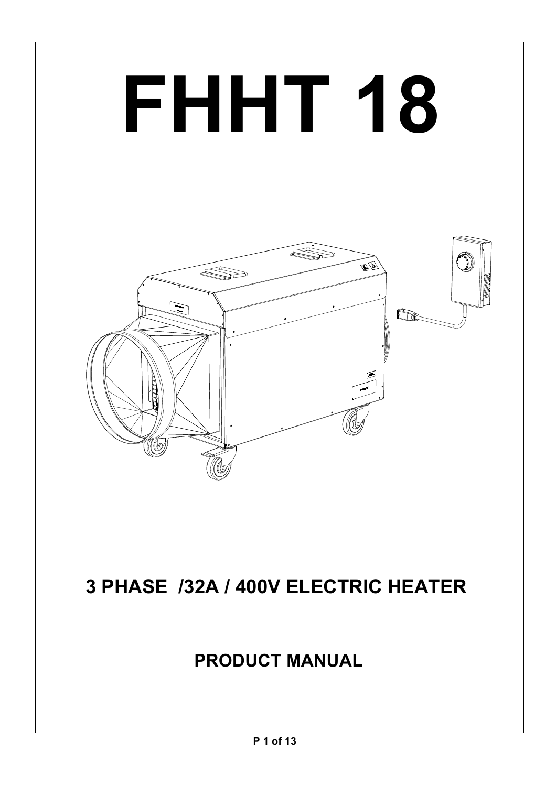# **FHHT 18**



# **3 PHASE /32A / 400V ELECTRIC HEATER**

# **PRODUCT MANUAL**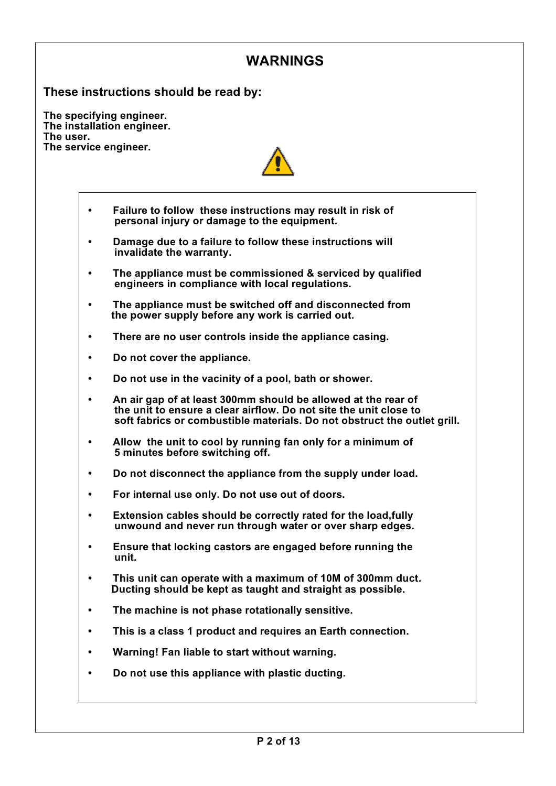## **WARNINGS**

**These instructions should be read by:**

**The specifying engineer. The installation engineer. The user. The service engineer.**



- **Failure to follow these instructions may result in risk of• personal injury or damage to the equipment.**
- **Damage due to a failure to follow these instructions will • invalidate the warranty.**
- **• The appliance must be commissioned & serviced by qualified engineers in compliance with local regulations.**
- **The appliance must be switched off and disconnected from• the power supply before any work is carried out.**
- **There are no user controls inside the appliance casing.•**
- **Do not cover the appliance.•**
- **Do not use in the vacinity of a pool, bath or shower.•**
- **An air gap of at least 300mm should be allowed at the rear of• the unit to ensure a clear airflow. Do not site the unit close to soft fabrics or combustible materials. Do not obstruct the outlet grill.**
- **Allow the unit to cool by running fan only for a minimum of• 5 minutes before switching off.**
- **Do not disconnect the appliance from the supply under load.•**
- **For internal use only. Do not use out of doors.•**
- **Extension cables should be correctly rated for the load,fully• unwound and never run through water or over sharp edges.**
- **Ensure that locking castors are engaged before running the• unit.**
- **• This unit can operate with a maximum of 10M of 300mm duct. Ducting should be kept as taught and straight as possible.**
- **The machine is not phase rotationally sensitive.•**
- **This is a class 1 product and requires an Earth connection.•**
- **Warning! Fan liable to start without warning.•**
- **Do not use this appliance with plastic ducting.•**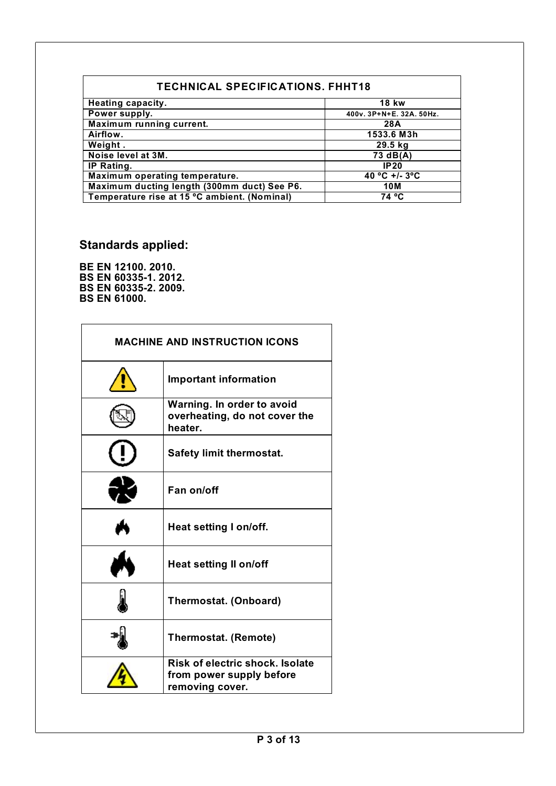| <b>TECHNICAL SPECIFICATIONS, FHHT18</b>      |                          |  |  |
|----------------------------------------------|--------------------------|--|--|
| Heating capacity.                            | <b>18 kw</b>             |  |  |
| Power supply.                                | 400v. 3P+N+E. 32A. 50Hz. |  |  |
| <b>Maximum running current.</b>              | 28A                      |  |  |
| Airflow.                                     | 1533.6 M3h               |  |  |
| Weight.                                      | 29.5 kg                  |  |  |
| Noise level at 3M.                           | 73 dB(A)                 |  |  |
| IP Rating.                                   | IP20                     |  |  |
| Maximum operating temperature.               | 40 °C +/- 3°C            |  |  |
| Maximum ducting length (300mm duct) See P6.  | 10M                      |  |  |
| Temperature rise at 15 °C ambient. (Nominal) | 74 °C                    |  |  |

# **Standards applied:**

**BE EN 12100. 2010. BS EN 60335-1. 2012. BS EN 60335-2. 2009. BS EN 61000.**

| <b>MACHINE AND INSTRUCTION ICONS</b> |                                                                                |  |
|--------------------------------------|--------------------------------------------------------------------------------|--|
|                                      | <b>Important information</b>                                                   |  |
|                                      | Warning. In order to avoid<br>overheating, do not cover the<br>heater.         |  |
|                                      | <b>Safety limit thermostat.</b>                                                |  |
|                                      | Fan on/off                                                                     |  |
|                                      | Heat setting I on/off.                                                         |  |
|                                      | <b>Heat setting II on/off</b>                                                  |  |
|                                      | <b>Thermostat. (Onboard)</b>                                                   |  |
|                                      | <b>Thermostat. (Remote)</b>                                                    |  |
|                                      | Risk of electric shock. Isolate<br>from power supply before<br>removing cover. |  |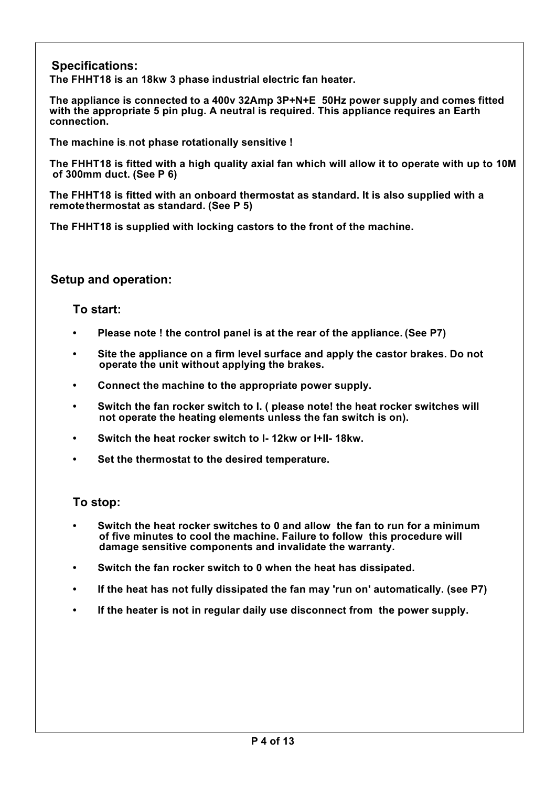**Specifications:**

**The FHHT18 is an 18kw 3 phase industrial electric fan heater.**

**The appliance is connected to a 400v 32Amp 3P+N+E 50Hz power supply and comes fitted with the appropriate 5 pin plug. A neutral is required. This appliance requires an Earth connection.**

**The machine is not phase rotationally sensitive !** 

The FHHT18 is fitted with a high quality axial fan which will allow it to operate with up to 10M **of 300mm duct. (See P 6)**

**The FHHT18 is fitted with an onboard thermostat as standard. It is also supplied with a remotethermostat as standard. (See P 5)**

**The FHHT18 is supplied with locking castors to the front of the machine.**

**Setup and operation:**

#### **To start:**

- **• Please note ! the control panel is at the rear of the appliance. (See P7)**
- **• Site the appliance on a firm level surface and apply the castor brakes. Do not operate the unit without applying the brakes.**
- **Connect the machine to the appropriate power supply.•**
- **• Switch the fan rocker switch to I. ( please note! the heat rocker switches will not operate the heating elements unless the fan switch is on).**
- **Switch the heat rocker switch to I- 12kw or I+II- 18kw.•**
- **Set the thermostat to the desired temperature.•**

#### **To stop:**

- **• Switch the heat rocker switches to 0 and allow the fan to run for a minimum of five minutes to cool the machine. Failure to follow this procedure will damage sensitive components and invalidate the warranty.**
- **• Switch the fan rocker switch to 0 when the heat has dissipated.**
- **• If the heat has not fully dissipated the fan may 'run on' automatically. (see P7)**
- **• If the heater is not in regular daily use disconnect from the power supply.**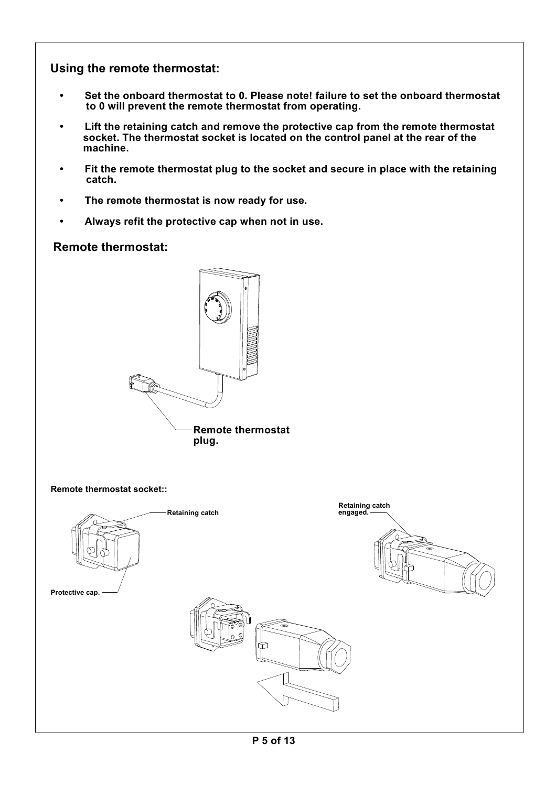#### **Using the remote thermostat:**

- **• Set the onboard thermostat to 0. Please note! failure to set the onboard thermostat to 0 will prevent the remote thermostat from operating.**
- **• Lift the retaining catch and remove the protective cap from the remote thermostat socket. The thermostat socket is located on the control panel at the rear of the machine.**
- **• Fit the remote thermostat plug to the socket and secure in place with the retaining catch.**
- **The remote thermostat is now ready for use.•**
- **Always refit the protective cap when not in use.•**

#### **Remote thermostat:**



**Remote thermostat socket::**

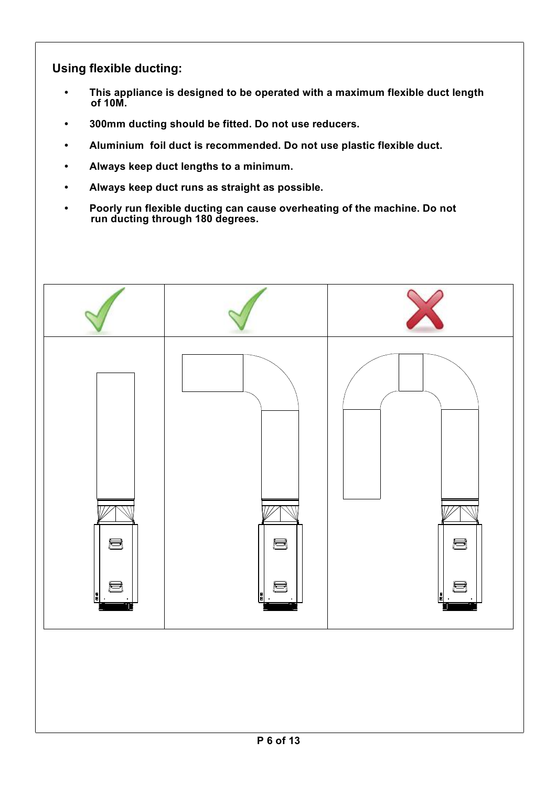**Using flexible ducting:**

- **• This appliance is designed to be operated with a maximum flexible duct length of 10M.**
- **300mm ducting should be fitted. Do not use reducers.•**
- **• Aluminium foil duct is recommended. Do not use plastic flexible duct.**
- **Always keep duct lengths to a minimum.•**
- **Always keep duct runs as straight as possible.•**
- **• Poorly run flexible ducting can cause overheating of the machine. Do not run ducting through 180 degrees.**

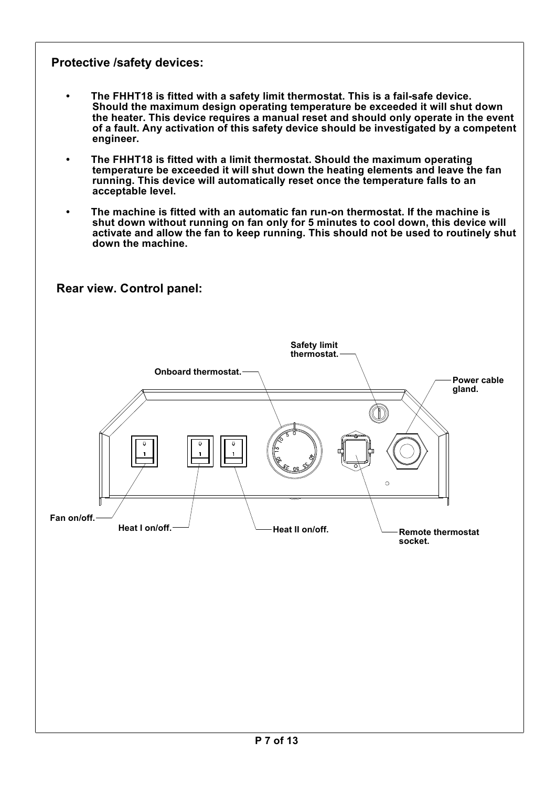#### **Protective /safety devices:**

- **• The FHHT18 is fitted with a safety limit thermostat. This is a fail-safe device. Should the maximum design operating temperature be exceeded it will shut down the heater. This device requires a manual reset and should only operate in the event of a fault. Any activation of this safety device should be investigated by a competent engineer.**
- **The FHHT18 is fitted with a limit thermostat. Should the maximum operating temperature be exceeded it will shut down the heating elements and leave the fan running. This device will automatically reset once the temperature falls to an acceptable level.**
- **• The machine is fitted with an automatic fan run-on thermostat. If the machine is shut down without running on fan only for 5 minutes to cool down, this device will activate and allow the fan to keep running. This should not be used to routinely shut down the machine.**

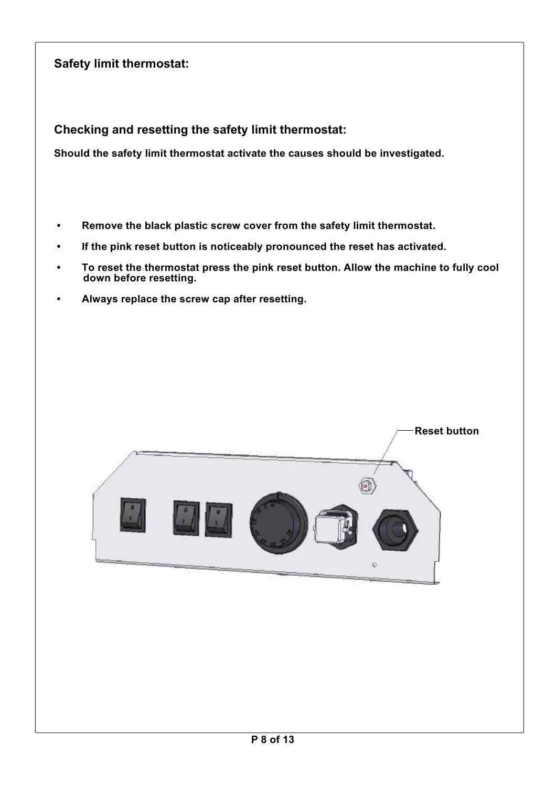## **Safety limit thermostat:**

**Checking and resetting the safety limit thermostat:**

**Should the safety limit thermostat activate the causes should be investigated.**

- **• Remove the black plastic screw cover from the safety limit thermostat.**
- **• If the pink reset button is noticeably pronounced the reset has activated.**
- **• To reset the thermostat press the pink reset button. Allow the machine to fully cool down before resetting.**
- **Always replace the screw cap after resetting.•**

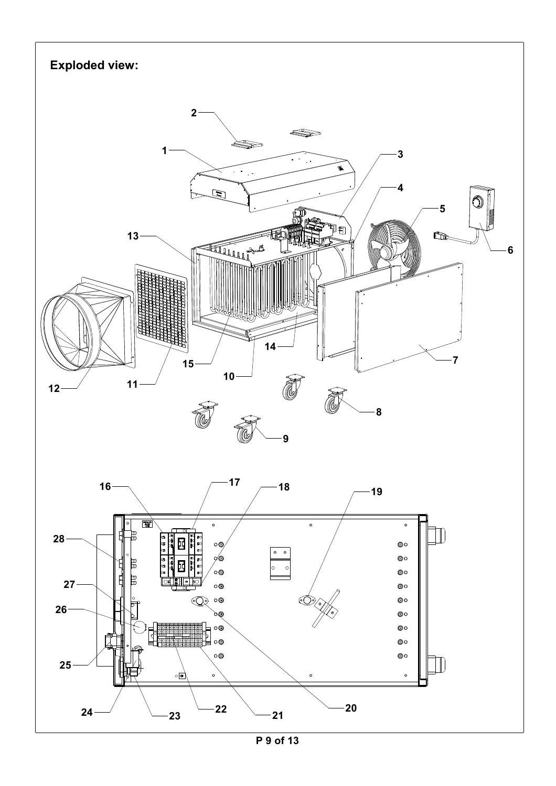

**P 9 of 13**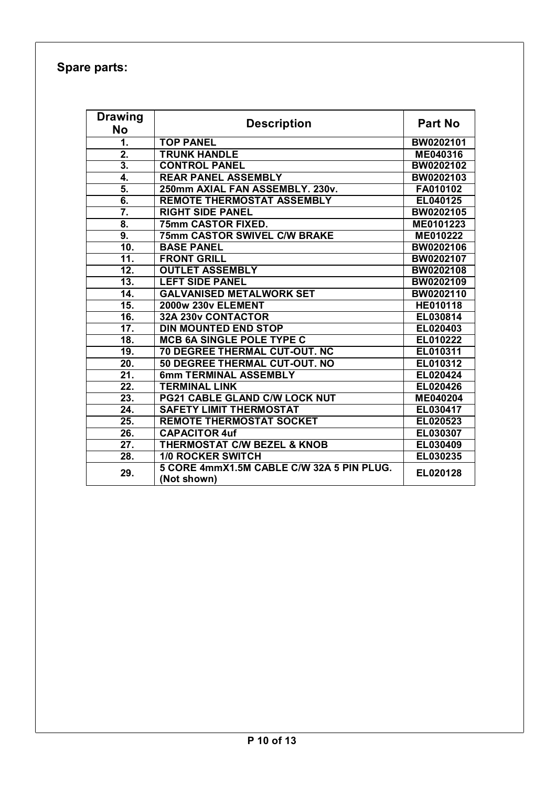### **Spare parts:**

| <b>Drawing</b>    |                                                          |                  |  |
|-------------------|----------------------------------------------------------|------------------|--|
| <b>No</b>         | <b>Description</b>                                       | <b>Part No</b>   |  |
| 1.                | <b>TOP PANEL</b>                                         | BW0202101        |  |
| $\overline{2}$ .  | <b>TRUNK HANDLE</b>                                      | ME040316         |  |
| 3.                | <b>CONTROL PANEL</b>                                     | <b>BW0202102</b> |  |
| 4.                | <b>REAR PANEL ASSEMBLY</b>                               | BW0202103        |  |
| 5.                | 250mm AXIAL FAN ASSEMBLY. 230v.                          | FA010102         |  |
| $\overline{6}$ .  | <b>REMOTE THERMOSTAT ASSEMBLY</b>                        | EL040125         |  |
| 7.                | <b>RIGHT SIDE PANEL</b>                                  | BW0202105        |  |
| 8.                | 75mm CASTOR FIXED.                                       | ME0101223        |  |
| $\overline{9}$ .  | <b>75mm CASTOR SWIVEL C/W BRAKE</b>                      | ME010222         |  |
| 10.               | <b>BASE PANEL</b>                                        | <b>BW0202106</b> |  |
| 11.               | <b>FRONT GRILL</b>                                       | BW0202107        |  |
| 12.               | <b>OUTLET ASSEMBLY</b>                                   | BW0202108        |  |
| $\overline{13}$ . | <b>LEFT SIDE PANEL</b>                                   | BW0202109        |  |
| 14.               | <b>GALVANISED METALWORK SET</b>                          | BW0202110        |  |
| $\overline{15}$ . | <b>2000w 230v ELEMENT</b>                                | HE010118         |  |
| 16.               | 32A 230v CONTACTOR                                       | EL030814         |  |
| $\overline{17}$ . | <b>DIN MOUNTED END STOP</b>                              | EL020403         |  |
| $\overline{18}$ . | <b>MCB 6A SINGLE POLE TYPE C</b>                         | EL010222         |  |
| 19.               | <b>70 DEGREE THERMAL CUT-OUT. NC</b>                     | EL010311         |  |
| $\overline{20}$ . | 50 DEGREE THERMAL CUT-OUT. NO                            | EL010312         |  |
| 21.               | <b>6mm TERMINAL ASSEMBLY</b>                             | EL020424         |  |
| 22.               | <b>TERMINAL LINK</b>                                     | EL020426         |  |
| $\overline{23}$ . | <b>PG21 CABLE GLAND C/W LOCK NUT</b>                     | ME040204         |  |
| $\overline{24}$ . | <b>SAFETY LIMIT THERMOSTAT</b>                           | EL030417         |  |
| $\overline{25}$ . | <b>REMOTE THERMOSTAT SOCKET</b>                          | EL020523         |  |
| 26.               | <b>CAPACITOR 4uf</b>                                     | EL030307         |  |
| 27.               | <b>THERMOSTAT C/W BEZEL &amp; KNOB</b>                   | EL030409         |  |
| 28.               | <b>1/0 ROCKER SWITCH</b>                                 | EL030235         |  |
| 29.               | 5 CORE 4mmX1.5M CABLE C/W 32A 5 PIN PLUG.<br>(Not shown) | EL020128         |  |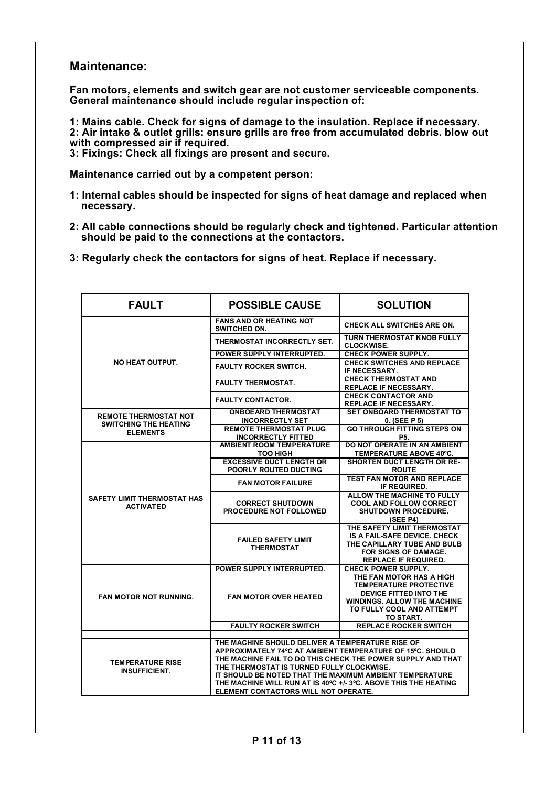#### **Maintenance:**

**Fan motors, elements and switch gear are not customer serviceable components. General maintenance should include regular inspection of:**

**1: Mains cable. Check for signs of damage to the insulation. Replace if necessary. 2: Air intake & outlet grills: ensure grills are free from accumulated debris. blow out with compressed air if required.**

**3: Fixings: Check all fixings are present and secure.**

**Maintenance carried out by a competent person:**

- **1: Internal cables should be inspected for signs of heat damage and replaced when necessary.**
- **2: All cable connections should be regularly check and tightened. Particular attention should be paid to the connections at the contactors.**
- **3: Regularly check the contactors for signs of heat. Replace if necessary.**

| <b>FAULT</b>                                                                    | <b>POSSIBLE CAUSE</b>                                                                                                                                                                                                                                                                                                                                                                           | <b>SOLUTION</b>                                                                                                                                                     |  |
|---------------------------------------------------------------------------------|-------------------------------------------------------------------------------------------------------------------------------------------------------------------------------------------------------------------------------------------------------------------------------------------------------------------------------------------------------------------------------------------------|---------------------------------------------------------------------------------------------------------------------------------------------------------------------|--|
| NO HEAT OUTPUT.                                                                 | <b>FANS AND OR HEATING NOT</b><br>SWITCHED ON.                                                                                                                                                                                                                                                                                                                                                  | <b>CHECK ALL SWITCHES ARE ON.</b>                                                                                                                                   |  |
|                                                                                 | THERMOSTAT INCORRECTLY SET.                                                                                                                                                                                                                                                                                                                                                                     | <b>TURN THERMOSTAT KNOB FULLY</b><br><b>CLOCKWISE.</b>                                                                                                              |  |
|                                                                                 | POWER SUPPLY INTERRUPTED.                                                                                                                                                                                                                                                                                                                                                                       | <b>CHECK POWER SUPPLY.</b>                                                                                                                                          |  |
|                                                                                 | <b>FAULTY ROCKER SWITCH.</b>                                                                                                                                                                                                                                                                                                                                                                    | <b>CHECK SWITCHES AND REPLACE</b><br>IF NECESSARY.                                                                                                                  |  |
|                                                                                 | <b>FAULTY THERMOSTAT.</b>                                                                                                                                                                                                                                                                                                                                                                       | <b>CHECK THERMOSTAT AND</b><br>REPLACE IF NECESSARY.                                                                                                                |  |
|                                                                                 | <b>FAULTY CONTACTOR.</b>                                                                                                                                                                                                                                                                                                                                                                        | <b>CHECK CONTACTOR AND</b><br><b>REPLACE IF NECESSARY.</b>                                                                                                          |  |
| <b>REMOTE THERMOSTAT NOT</b><br><b>SWITCHING THE HEATING</b><br><b>ELEMENTS</b> | <b>ONBOEARD THERMOSTAT</b><br><b>INCORRECTLY SET</b>                                                                                                                                                                                                                                                                                                                                            | <b>SET ONBOARD THERMOSTAT TO</b><br>$0.$ (SEE P 5)                                                                                                                  |  |
|                                                                                 | <b>REMOTE THERMOSTAT PLUG</b><br><b>INCORRECTLY FITTED</b>                                                                                                                                                                                                                                                                                                                                      | <b>GO THROUGH FITTING STEPS ON</b><br>P5.                                                                                                                           |  |
| SAFETY LIMIT THERMOSTAT HAS<br><b>ACTIVATED</b>                                 | <b>AMBIENT ROOM TEMPERATURE</b><br><b>TOO HIGH</b>                                                                                                                                                                                                                                                                                                                                              | DO NOT OPERATE IN AN AMBIENT<br>TEMPERATURE ABOVE 40°C.                                                                                                             |  |
|                                                                                 | <b>EXCESSIVE DUCT LENGTH OR</b><br><b>POORLY ROUTED DUCTING</b>                                                                                                                                                                                                                                                                                                                                 | <b>SHORTEN DUCT LENGTH OR RE-</b><br><b>ROUTE</b>                                                                                                                   |  |
|                                                                                 | <b>FAN MOTOR FAILURE</b>                                                                                                                                                                                                                                                                                                                                                                        | <b>TEST FAN MOTOR AND REPLACE</b><br>IF REQUIRED.                                                                                                                   |  |
|                                                                                 | <b>CORRECT SHUTDOWN</b><br><b>PROCEDURE NOT FOLLOWED</b>                                                                                                                                                                                                                                                                                                                                        | ALLOW THE MACHINE TO FULLY<br><b>COOL AND FOLLOW CORRECT</b><br><b>SHUTDOWN PROCEDURE.</b><br>(SEE P4)                                                              |  |
|                                                                                 | <b>FAILED SAFETY LIMIT</b><br><b>THERMOSTAT</b>                                                                                                                                                                                                                                                                                                                                                 | THE SAFETY LIMIT THERMOSTAT<br>IS A FAIL-SAFE DEVICE. CHECK<br>THE CAPILLARY TUBE AND BULB<br>FOR SIGNS OF DAMAGE.<br><b>REPLACE IF REQUIRED.</b>                   |  |
|                                                                                 | POWER SUPPLY INTERRUPTED.                                                                                                                                                                                                                                                                                                                                                                       | <b>CHECK POWER SUPPLY.</b>                                                                                                                                          |  |
| <b>FAN MOTOR NOT RUNNING.</b>                                                   | <b>FAN MOTOR OVER HEATED</b>                                                                                                                                                                                                                                                                                                                                                                    | THE FAN MOTOR HAS A HIGH<br><b>TEMPERATURE PROTECTIVE</b><br>DEVICE FITTED INTO THE<br><b>WINDINGS, ALLOW THE MACHINE</b><br>TO FULLY COOL AND ATTEMPT<br>TO START. |  |
|                                                                                 | <b>FAULTY ROCKER SWITCH</b>                                                                                                                                                                                                                                                                                                                                                                     | <b>REPLACE ROCKER SWITCH</b>                                                                                                                                        |  |
| <b>TEMPERATURE RISE</b><br><b>INSUFFICIENT.</b>                                 | THE MACHINE SHOULD DELIVER A TEMPERATURE RISE OF<br>APPROXIMATELY 74°C AT AMBIENT TEMPERATURE OF 15°C. SHOULD<br>THE MACHINE FAIL TO DO THIS CHECK THE POWER SUPPLY AND THAT<br>THE THERMOSTAT IS TURNED FULLY CLOCKWISE.<br>IT SHOULD BE NOTED THAT THE MAXIMUM AMBIENT TEMPERATURE<br>THE MACHINE WILL RUN AT IS 40°C +/- 3°C. ABOVE THIS THE HEATING<br>ELEMENT CONTACTORS WILL NOT OPERATE. |                                                                                                                                                                     |  |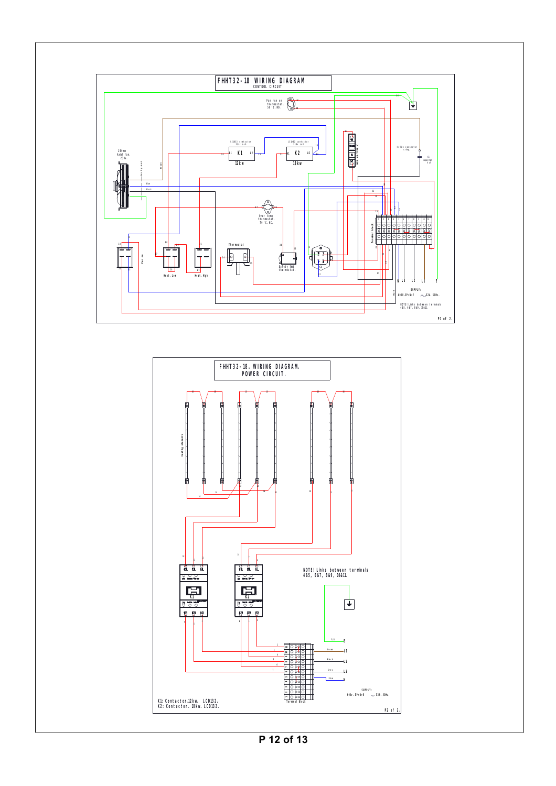



**P 12 of 13**